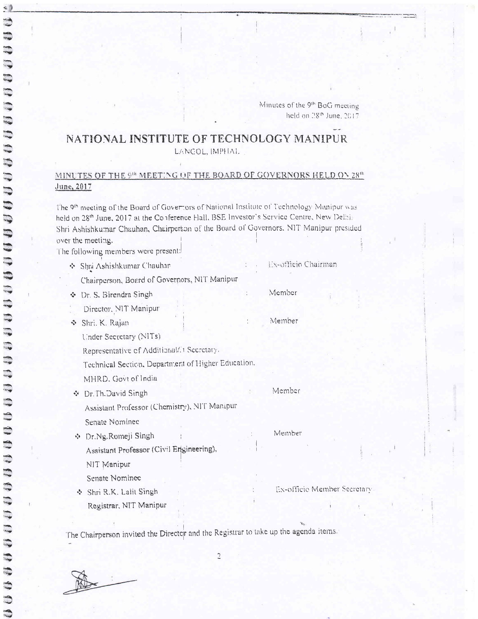## NATIONAL INSTITUTE OF TECHNOLOGY MANIPUR

LANGOL, IMPHAL

## MINUTES OF THE 9th MEETING OF THE BOARD OF GOVERNORS HELD ON 28th June, 2017

The 9th meeting of the Board of Governors of National Institute of Technology Manipur was held on 28th June, 2017 at the Conference Hall, BSE Investor's Scryice Centre, New Delhi, Shri Ashishkumar Chauhan, Chairperton of the Board of Governors. NIT Manipur presided over the meeting. The following members were present:

- Ex-officio Chairman ◆ Shpi Ashishkumar Chauhan
	- Chairperson, Board of Governors, NIT Manipur
- ◆ Dr. S. Birendra Singh Member
- Director, NIT Manipur
- Member Shri, K. Rajan

Under Secretary (NITs)

Representative of Additional/it Secretary.

Technical Section, Department of Higher Education.

MHRD. Govt of India

Member ☆ Dr. Th. David Singh Assistant Professor (Chemistry), NIT Manipur

Senate Nominee

 $\ddot{\circ}$ 

- **Dr.Ng.Romeji Singh** Assistant Professor (Civil Engineering), NIT Manipur
	- Senate Nominee
- Shri R.K. Lalit Singh Registrar, NIT Manipur

Member

Ex-officie Member Secretary

The Chairperson invited the Director and the Registrar to take up the agenda items.

 $\overline{c}$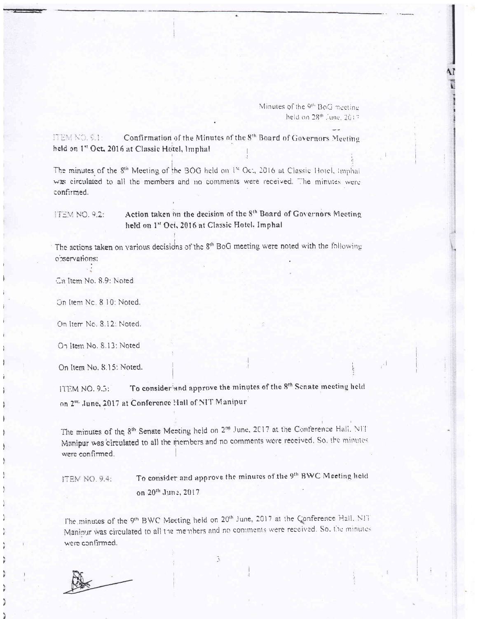Minutes of the 9<sup>th</sup> BoG meeting held on 28th June, 2017

ITEM NO, 9.1: Confirmation of the Minutes of the 8th Board of Governors Meeting held on 1<sup>st</sup> Oct, 2016 at Classic Hotel, Imphal.

The minutes of the 8th Meeting of the BOG held on 1st Oct, 2016 at Classic Hotel, imphat was circulated to all the members and no comments were received. The minutes were confirmed.

Action taken im the decision of the 8th Board of Governors Meeting **ITEM NO. 9.2:** held on 1st Oct, 2016 at Classic Hotel, Imphal

The actions taken on various decisions of the 8<sup>th</sup> BoG meeting were noted with the following observations:

Cin Item No. 8.9: Noted

On Item Nc. 8 10: Noted.

On Item No. 8.12: Noted.

On Item No. 8.13; Noted

On Item No. 8.15; Noted.

To consider and approve the minutes of the 8th Senate meeting held **ITEM NO. 9.5:** on 2" June, 2017 at Conference Hall of NIT Manipur

The minutes of the 8<sup>th</sup> Senate Meeting held on 2<sup>no</sup> June, 2017 at the Conference Hall, NIT Manipur was circulated to all the members and no comments were received. So, the minutes were confirmed.

To consider and approve the minutes of the 9th BWC Meeting held **ITEM NO. 9.4:** on 20th June, 2017

The minutes of the 9th BWC Meeting held on 20th June, 2017 at the Gonference Hall, NIT Manipur was circulated to all the members and no comments were received. So, the minutes were confirmed.

3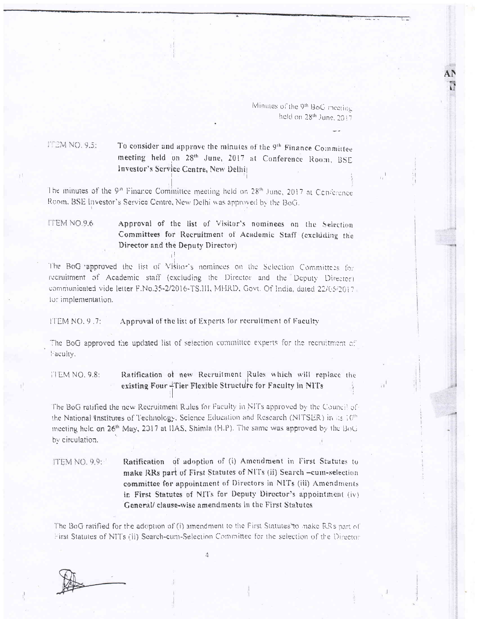## To consider and approve the minutes of the 9<sup>th</sup> Finance Committee ITEM NO. 9.5: meeting held on 28th June, 2017 at Conference Room, BSE Investor's Service Centre, New Delhi)

The minutes of the 9<sup>n</sup> Finance Committee meeting held on 28<sup>th</sup> June, 2017 at Conference Room, BSE Investor's Service Centre, New Delhi was approved by the BoG.

ITEM NO.9.6 Approval of the list of Visitor's nominees on the Selection Committees for Recruitment of Academic Staff (excluding the Director and the Deputy Director)

The BoG approved the list of Visitor's nominees on the Selection Committees for recruitment of Academic staff (excluding the Director and the Deputy Director) communicated vide letter F.No.35-2/2016-TS.III, MHRD, Govt. Of India, dated 22/05/2017. for implementation.

Approval of the list of Experts for recruitment of Faculty **ITEM NO. 9.7:** 

The BoG approved the updated list of selection committee experts for the recruitment of Faculty.

Ratification of new Recruitment Rules which will replace the **ITEM NO. 9.8:** existing Four +Tier Flexible Structure for Faculty in NITs

The BoG ratified the new Recruitment Rules for Faculty in NITs approved by the Council of the National Institutes of Technology, Science Education and Research (NITSER) in list 10<sup>th</sup> meeting held on 26<sup>th</sup> May, 2017 at IIAS, Shimla (H.P). The same was approved by the BoG by circulation.

Ratification of adoption of (i) Amendment in First Statutes to **ITEM NO. 9.9:** make RRs part of First Statutes of NITs (ii) Search -cum-selection committee for appointment of Directors in NITs (iii) Amendments in First Statutes of NITs for Deputy Director's appointment (iv) General/ clause-wise amendments in the First Statutes

The BoG ratified for the adoption of (i) amendment to the First Statutes to make RRs part of First Statutes of NITs (ii) Search-cum-Selection Committee for the selection of the Director

 $\Delta$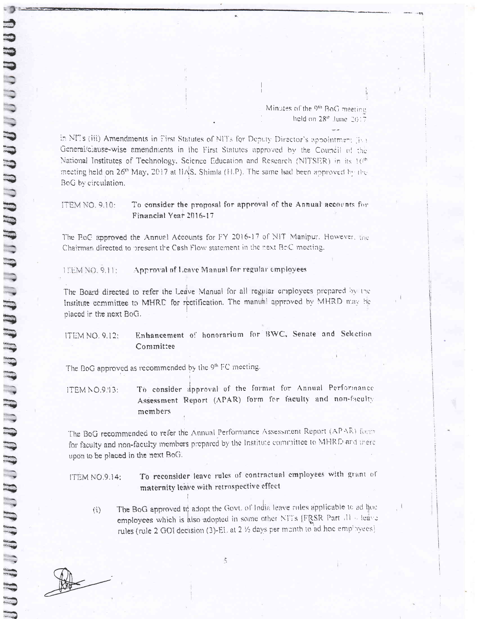Minutes of the 9<sup>th</sup> BoG meeting held on  $28<sup>th</sup>$  June  $2017$ 

in NITs (iii) Amendments in First Statutes of NITs for Deputy Director's appointment (iv) General/clause-wise amendments in the First Statutes approved by the Council of the National Institutes of Technology, Science Education and Research (NITSER) in its 10th meeting held on  $26^{\circ}$  May, 2017 at HAS. Shimla (H.P). The same had been approved by the BoG by circulation.

To consider the proposal for approval of the Annual accounts for **ITEM NO. 9.10:** Financial Year 2016-17

The RoC approved the Annual Accounts for FY 2016-17 of NIT Manipur, However, the Chairman directed to present the Cash Flow statement in the next BoC meeting.

**I EM NO. 9.11:** Approval of Leave Manual for regular employees

The Board directed to refer the Leave Manual for all regular employees prepared by the Institute committee to MHRE for rectification. The manual approved by MHRD may be placed in the next BoG.

Enhancement of honorarium for BWC, Senate and Selection **ITEM NO. 9.12:** Committee

The BoG approved as recommended by the 9th FC meeting.

To consider approval of the format for Annual Performance ITEM NO.9.13: Assessment Report (APAR) form for faculty and non-faculty members

The BoG recommended to refer the Annual Performance Assessment Report (APAR) form for faculty and non-faculty members prepared by the Institute committee to MHRD and there upon to be placed in the next BoG.

To reconsider leave rules of contractual employees with grant of **ITEM NO.9.14:** maternity leave with retrospective effect

5

The BoG approved in adopt the Govt. of India leave rules applicable to ad hoc  $\left( i\right)$ employees which is also adopted in some other NTTs [FRSR Part 11 - leave rules (rule 2 GOI decision (3)-EL at 2 1/2 days per munth to ad hoc employees)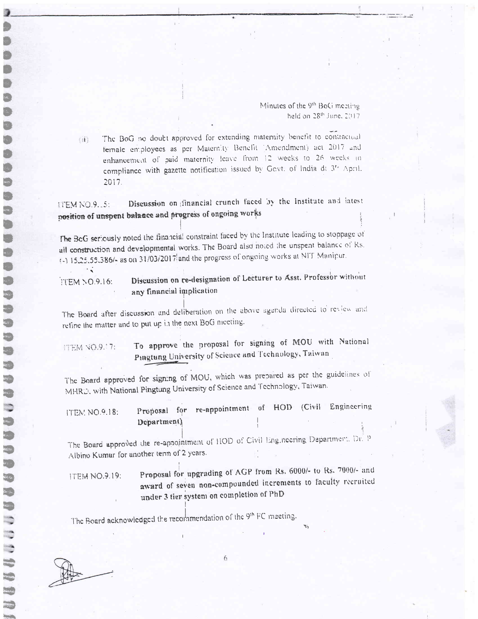The BoG no doubt approved for extending maternity benefit to contractual 铺 female employees as per Maternity Benefit (Amendment) act 2017 and enhancement of paid maternity leave from 12 weeks to 26 weeks in compliance with gazette notification issued by Govt. of India di 3<sup>ta</sup> April. 2017.

Discussion on financial crunch faced by the Institute and latest **ITEM NO.9.15:** position of unspent balance and progress of ongoing works

The BcG seriously noted the financial constraint faced by the Institute leading to stoppage of all construction and developmental works. The Board also noted the unspent balance of Rs. (-) 15.25.55.386/- as on 31/03/2017 and the progress of ongoing works at NIT Manipur.

Discussion on re-designation of Lecturer to Asst. Professor without **ITEM NO.9.16:** any financial implication

The Board after discussion and deliberation on the above agenda directed to review and refine the matter and to put up in the next BoG meeting.

To approve the proposal for signing of MOU with National **ITEM NO.9.17:** Pingtung University of Science and Technology, Taiwan

The Board approved for signing of MOU, which was prepared as per the guidelines of MHRD, with National Pingtung University of Science and Technology, Taiwan.

| <b>ITEM NO.9.18:</b> |             | Proposal for re-appointment of HOD (Civil Engineering |  |  |
|----------------------|-------------|-------------------------------------------------------|--|--|
|                      | Department) |                                                       |  |  |

The Board approved the re-appointment of HOD of Civil Engineering Department, Dr. P Albino Kumar for another term of 2 years.

Proposal for upgrading of AGP from Rs. 6000/- to Rs. 7000/- and **ITEM NO.9.19:** award of seven non-compounded increments to faculty recruited under 3 tier system on completion of PhD

The Board acknowledged the recommendation of the 9th FC meeting.

 $\sim$ 

 $\mathbb{R}^2$ 

eraine<br>L

 $\overline{\mathbf{c}}$ 

 $\mathcal{E}_{\mathcal{A}}$ 

 $\frac{1}{2}$ 

 $6\overline{6}$